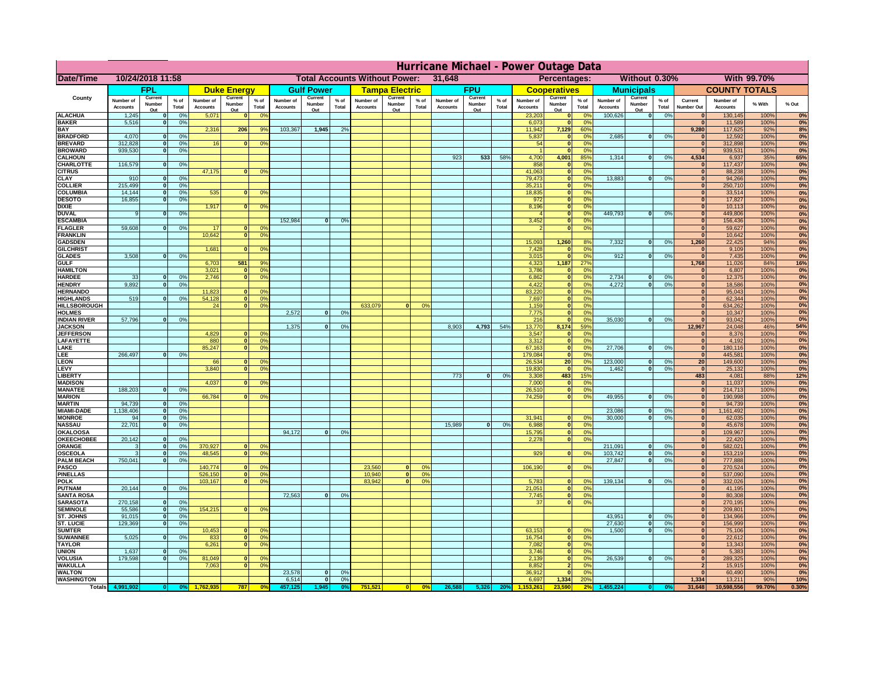|                                      | Hurricane Michael - Power Outage Data |                             |                 |                              |                                                |                                         |                              |                          |                |                              |                          |                                                            |                              |                          |                 |                              |                          |                 |                              |                          |                 |                                |                              |              |           |
|--------------------------------------|---------------------------------------|-----------------------------|-----------------|------------------------------|------------------------------------------------|-----------------------------------------|------------------------------|--------------------------|----------------|------------------------------|--------------------------|------------------------------------------------------------|------------------------------|--------------------------|-----------------|------------------------------|--------------------------|-----------------|------------------------------|--------------------------|-----------------|--------------------------------|------------------------------|--------------|-----------|
| Date/Time                            | 10/24/2018 11:58                      |                             |                 |                              | <b>Total Accounts Without Power:</b><br>31,648 |                                         |                              |                          |                |                              |                          | <b>Without 0.30%</b><br><b>With 99.70%</b><br>Percentages: |                              |                          |                 |                              |                          |                 |                              |                          |                 |                                |                              |              |           |
|                                      |                                       | FPL                         |                 |                              | <b>Duke Energy</b>                             |                                         |                              | <b>Gulf Power</b>        |                |                              | <b>Tampa Electric</b>    |                                                            |                              | <b>FPU</b>               |                 |                              | <b>Cooperatives</b>      |                 |                              | <b>Municipals</b>        |                 |                                | <b>COUNTY TOTALS</b>         |              |           |
| County                               | Number of<br><b>Accounts</b>          | Current<br>Number<br>Out    | $%$ of<br>Total | Number of<br><b>Accounts</b> | Current<br>Number<br>Out                       | $%$ of<br>Total                         | Number of<br><b>Accounts</b> | Current<br>Number<br>Out | % of<br>Total  | Number of<br><b>Accounts</b> | Current<br>Number<br>Out | $%$ of<br>Total                                            | Number of<br><b>Accounts</b> | Current<br>Number<br>Out | $%$ of<br>Total | Number of<br><b>Accounts</b> | Current<br>Number<br>Out | $%$ of<br>Total | Number of<br><b>Accounts</b> | Current<br>Number<br>Out | $%$ of<br>Total | Current<br><b>Number Out</b>   | Number of<br><b>Accounts</b> | % With       | % Out     |
| <b>ALACHUA</b>                       | 1,245                                 | $\mathbf{0}$                | 0%              | 5,071                        | $\bf{0}$                                       | 0 <sup>9</sup>                          |                              |                          |                |                              |                          |                                                            |                              |                          |                 | 23,203                       | 0                        | 0 <sup>9</sup>  | 100,626                      | 0                        | 0%              | $\bf{0}$                       | 130,145                      | 100%         | 0%        |
| <b>BAKER</b><br><b>BAY</b>           | 5,516                                 | 0                           | 0%              | 2,316                        | 206                                            | 9%                                      | 103,367                      | 1,945                    | 2%             |                              |                          |                                                            |                              |                          |                 | 6,073<br>11,942              | 0 <br>7,129              | 0%<br>60%       |                              |                          |                 | $\mathbf{0}$<br>9,280          | 11,589<br>117,625            | 100%<br>92%  | 0%        |
| <b>BRADFORD</b>                      | 4,070                                 | $\mathbf{0}$                | 0%              |                              |                                                |                                         |                              |                          |                |                              |                          |                                                            |                              |                          |                 | 5,837                        | 0                        | 0%              | 2,685                        | 0                        | 0%              | $\bf{0}$                       | 12,592                       | 100%         | 8%<br>0%  |
| <b>BREVARD</b>                       | 312,828                               | 0                           | 0%              | 16                           | 0                                              | 0 <sup>o</sup>                          |                              |                          |                |                              |                          |                                                            |                              |                          |                 | 54                           | 0                        | 0%              |                              |                          |                 | 0                              | 312,898                      | 100%         | 0%        |
| <b>BROWARD</b>                       | 939.530                               | 0                           | 0%              |                              |                                                |                                         |                              |                          |                |                              |                          |                                                            |                              |                          |                 |                              | 0                        | 0%              |                              |                          |                 | $\bf{0}$                       | 939,531                      | 100%         | 0%        |
| <b>CALHOUN</b><br>CHARLOTTE          | 116,579                               | 0                           | 0%              |                              |                                                |                                         |                              |                          |                |                              |                          |                                                            | 923                          | 533                      | 58%             | 4,700<br>858                 | 4,001<br> 0              | 85%<br>0%       | 1,314                        | 0                        | 0%              | 4,534<br>$\bf{0}$              | 6,937<br>117,437             | 35%<br>100%  | 65%<br>0% |
| <b>CITRUS</b>                        |                                       |                             |                 | 47,175                       | $\mathbf{0}$                                   | 0 <sup>o</sup>                          |                              |                          |                |                              |                          |                                                            |                              |                          |                 | 41,063                       | 0                        | 0 <sup>9</sup>  |                              |                          |                 | $\bf{0}$                       | 88,238                       | 100%         | 0%        |
| <b>CLAY</b>                          | 910                                   | $\mathbf{0}$                | 0%              |                              |                                                |                                         |                              |                          |                |                              |                          |                                                            |                              |                          |                 | 79,473                       | 0                        | 0 <sup>9</sup>  | 13,883                       | $\mathbf{0}$             | 0%              | $\bf{0}$                       | 94,266                       | 100%         | 0%        |
| <b>COLLIER</b>                       | 215,499                               | $\mathbf{0}$                | 0 <sup>9</sup>  | 535                          | $\mathbf{0}$                                   |                                         |                              |                          |                |                              |                          |                                                            |                              |                          |                 | 35,211                       | 0                        | 0%<br>0%        |                              |                          |                 | $\bf{0}$<br>$\bf{0}$           | 250,710                      | 100%         | 0%        |
| <b>COLUMBIA</b><br><b>DESOTO</b>     | 14,144<br>16,855                      | $\mathbf 0$<br>$\mathbf{0}$ | 0%<br>0%        |                              |                                                | 0 <sup>9</sup>                          |                              |                          |                |                              |                          |                                                            |                              |                          |                 | 18,835<br>972                | 0 <br> 0                 | 0%              |                              |                          |                 | $\bf{0}$                       | 33,514<br>17,827             | 100%<br>100% | 0%<br>0%  |
| <b>DIXIE</b>                         |                                       |                             |                 | 1,917                        | $\Omega$                                       | 0 <sup>9</sup>                          |                              |                          |                |                              |                          |                                                            |                              |                          |                 | 8,196                        | 0                        | 0%              |                              |                          |                 | $\Omega$                       | 10,113                       | 100%         | 0%        |
| <b>DUVAL</b>                         | 9                                     | $\Omega$                    | 0%              |                              |                                                |                                         |                              |                          |                |                              |                          |                                                            |                              |                          |                 |                              | 0                        | 0%              | 449.793                      | $\overline{\mathbf{0}}$  | 0%              | $\Omega$                       | 449,806                      | 100%         | 0%        |
| <b>ESCAMBIA</b>                      | 59,608                                |                             |                 | 17                           |                                                |                                         | 152,984                      | $\mathbf{0}$             | 0 <sup>o</sup> |                              |                          |                                                            |                              |                          |                 | 3,452                        | 0                        | 0%<br>0%        |                              |                          |                 | $\Omega$                       | 156,436                      | 100%         | 0%        |
| <b>FLAGLER</b><br><b>FRANKLIN</b>    |                                       | $\overline{0}$              | 0%              | 10,642                       | $\bf{0}$<br> 0                                 | 0 <sup>o</sup><br>0 <sup>9</sup>        |                              |                          |                |                              |                          |                                                            |                              |                          |                 |                              | 0                        |                 |                              |                          |                 | $\mathbf{0}$<br>$\Omega$       | 59,627<br>10,642             | 100%<br>100% | 0%<br>0%  |
| <b>GADSDEN</b>                       |                                       |                             |                 |                              |                                                |                                         |                              |                          |                |                              |                          |                                                            |                              |                          |                 | 15,093                       | 1,260                    | 8%              | 7,332                        | 0                        | 0%              | 1,260                          | 22,425                       | 94%          | 6%        |
| <b>GILCHRIST</b>                     |                                       |                             |                 | 1,681                        | $\Omega$                                       | 0 <sup>9</sup>                          |                              |                          |                |                              |                          |                                                            |                              |                          |                 | 7,428                        | 0                        | 0%              |                              |                          |                 | $\mathbf{0}$                   | 9,109                        | 100%         | 0%        |
| <b>GLADES</b><br><b>GULF</b>         | 3,508                                 | 0                           | 0%              |                              | 581                                            | 9%                                      |                              |                          |                |                              |                          |                                                            |                              |                          |                 | 3,015                        | 0 <br>1,187              | 0%<br>27%       | 912                          | $\overline{0}$           | 0%              | 0 <br>1,768                    | 7,435                        | 100%<br>84%  | 0%        |
| <b>HAMILTON</b>                      |                                       |                             |                 | 6,703<br>3,021               |                                                | $\overline{0}$<br>0 <sup>9</sup>        |                              |                          |                |                              |                          |                                                            |                              |                          |                 | 4,323<br>3,786               | 0                        | 0%              |                              |                          |                 | $\Omega$                       | 11,026<br>6,807              | 100%         | 16%<br>0% |
| <b>HARDEE</b>                        | 33                                    | $\mathbf{0}$                | 0%              | 2.746                        |                                                | $\overline{0}$<br>0 <sup>9</sup>        |                              |                          |                |                              |                          |                                                            |                              |                          |                 | 6.862                        | $\overline{0}$           | 0%              | 2.734                        | $\mathbf{0}$             | 0%              | 0                              | 12,375                       | 100%         | 0%        |
| <b>HENDRY</b>                        | 9,892                                 | $\Omega$                    | 0%              |                              |                                                |                                         |                              |                          |                |                              |                          |                                                            |                              |                          |                 | 4,422                        | 0                        | 0%              | 4,272                        | $\Omega$                 | 0%              | 0                              | 18,586                       | 100%         | 0%        |
| <b>HERNANDO</b><br><b>HIGHLANDS</b>  | 519                                   | $\mathbf{0}$                |                 | 11,823<br>54,128             | $\mathbf{0}$                                   | 0 <sup>9</sup><br> 0 <br>0 <sup>9</sup> |                              |                          |                |                              |                          |                                                            |                              |                          |                 | 83,220<br>7,697              | 0 <br> 0                 | 0%<br>0%        |                              |                          |                 | 0 <br> 0                       | 95,043<br>62,344             | 100%<br>100% | 0%<br>0%  |
| <b>HILLSBOROUGH</b>                  |                                       |                             | 0 <sup>9</sup>  | 24                           | 0                                              | 0 <sup>9</sup>                          |                              |                          |                | 633,079                      |                          | 0%                                                         |                              |                          |                 | 1,159                        | 0                        | 0%              |                              |                          |                 | 0                              | 634,262                      | 100%         | 0%        |
| <b>HOLMES</b>                        |                                       |                             |                 |                              |                                                |                                         | 2.572                        | $\mathbf{0}$             | 0%             |                              |                          |                                                            |                              |                          |                 | 7,775                        | 0                        | 0%              |                              |                          |                 | 0                              | 10,347                       | 100%         | 0%        |
| <b>INDIAN RIVER</b>                  | 57,796                                | $\mathbf{0}$                | 0%              |                              |                                                |                                         |                              |                          |                |                              |                          |                                                            |                              |                          |                 | 216                          | 0                        | 0%              | 35,030                       | $\mathbf{0}$             | 0%              | 0                              | 93,042                       | 100%         | 0%        |
| <b>JACKSON</b><br><b>JEFFERSON</b>   |                                       |                             |                 | 4.829                        | n l                                            | 0 <sup>9</sup>                          | 1.375                        | $\mathbf{0}$             | 0 <sup>9</sup> |                              |                          |                                                            | 8.903                        | 4,793                    | 54%             | 13,770<br>3.547              | 8.174                    | 59%<br>0%       |                              |                          |                 | 12.967<br>$\mathbf{0}$         | 24,048<br>8.376              | 46%<br>100%  | 54%<br>0% |
| LAFAYETTE                            |                                       |                             |                 | 880                          |                                                | 0 <br>0 <sup>9</sup>                    |                              |                          |                |                              |                          |                                                            |                              |                          |                 | 3.312                        | 0 <br> 0                 | 0%              |                              |                          |                 | 0                              | 4,192                        | 100%         | 0%        |
| LAKE                                 |                                       |                             |                 | 85,247                       |                                                | $\mathbf{0}$<br>0 <sup>9</sup>          |                              |                          |                |                              |                          |                                                            |                              |                          |                 | 67,163                       | 0                        | 0%              | 27,706                       | $\Omega$                 | 0%              | 0                              | 180,116                      | 100%         | 0%        |
| EE.                                  | 266,497                               | 0                           | 0%              |                              |                                                |                                         |                              |                          |                |                              |                          |                                                            |                              |                          |                 | 179,084                      | 0                        | 0%              |                              |                          |                 | 0                              | 445,581                      | 100%         | 0%        |
| LEON<br>LEVY                         |                                       |                             |                 | 66<br>3,840                  | $\mathbf{0}$<br>$\Omega$                       | 0 <sup>o</sup><br>0 <sup>9</sup>        |                              |                          |                |                              |                          |                                                            |                              |                          |                 | 26,534<br>19,830             | 20 <sup>1</sup><br> 0    | 0%<br>0%        | 123,000<br>1,462             | $\mathbf{0}$<br>-ol      | 0%<br>0%        | 20 <sup>1</sup><br> 0          | 149,600<br>25,132            | 100%<br>100% | 0%<br>0%  |
| <b>LIBERTY</b>                       |                                       |                             |                 |                              |                                                |                                         |                              |                          |                |                              |                          |                                                            | 773                          | $\Omega$                 | 0%              | 3,308                        | 483                      | 15%             |                              |                          |                 | 483                            | 4,081                        | 88%          | 12%       |
| <b>MADISON</b>                       |                                       |                             |                 | 4,037                        | $\Omega$                                       | 0 <sup>9</sup>                          |                              |                          |                |                              |                          |                                                            |                              |                          |                 | 7,000                        | 0                        | 0%              |                              |                          |                 | 0                              | 11,037                       | 100%         | 0%        |
| <b>MANATEE</b>                       | 188,203                               | 0                           | 0%              |                              |                                                |                                         |                              |                          |                |                              |                          |                                                            |                              |                          |                 | 26,510                       | 0                        | 0%              |                              |                          |                 | 0                              | 214,713                      | 100%         | 0%        |
| <b>MARION</b><br><b>MARTIN</b>       | 94,739                                | 0                           | 0%              | 66,784                       | 0                                              | 0 <sup>9</sup>                          |                              |                          |                |                              |                          |                                                            |                              |                          |                 | 74,259                       | 0                        | 0%              | 49,955                       | nl                       | 0%              | 0 <br> 0                       | 190,998<br>94,739            | 100%<br>100% | 0%<br>0%  |
| <b>MIAMI-DADE</b>                    | 1,138,406                             | 0                           | 0%              |                              |                                                |                                         |                              |                          |                |                              |                          |                                                            |                              |                          |                 |                              |                          |                 | 23,086                       | $\mathbf{0}$             | 0%              | 0                              | 1,161,492                    | 100%         | 0%        |
| <b>MONROE</b>                        | 94                                    | 0                           | 0%              |                              |                                                |                                         |                              |                          |                |                              |                          |                                                            |                              |                          |                 | 31,941                       | $\overline{0}$           | 0 <sup>9</sup>  | 30,000                       | 0                        | 0%              | 0                              | 62,035                       | 100%         | 0%        |
| <b>NASSAU</b>                        | 22,701                                | 0                           | 0%              |                              |                                                |                                         |                              |                          |                |                              |                          |                                                            | 15,989                       | 0                        | 0%              | 6,988                        | 0                        | 0%              |                              |                          |                 | 0                              | 45,678                       | 100%         | 0%        |
| <b>OKALOOSA</b><br><b>OKEECHOBEE</b> | 20,142                                | 0                           | 0%              |                              |                                                |                                         | 94,172                       | $\mathbf{0}$             | 0%             |                              |                          |                                                            |                              |                          |                 | 15,795<br>2,278              | 0                        | 0%<br>0%<br> 0  |                              |                          |                 | 0 <br> 0                       | 109,967<br>22,420            | 100%<br>100% | 0%<br>0%  |
| ORANGE                               | 3                                     | 0                           | 0%              | 370,927                      |                                                | 0 <br>0 <sup>o</sup>                    |                              |                          |                |                              |                          |                                                            |                              |                          |                 |                              |                          |                 | 211,091                      | $\overline{\mathbf{0}}$  | 0%              | 0                              | 582,021                      | 100%         | 0%        |
| <b>OSCEOLA</b>                       | 3                                     | 0                           | 0%              | 48,545                       |                                                | 0 <sup>9</sup><br> 0                    |                              |                          |                |                              |                          |                                                            |                              |                          |                 | 929                          |                          | 0 <br>0%        | 103,742                      | 0                        | 0%              | 0                              | 153,219                      | 100%         | 0%        |
| <b>PALM BEACH</b>                    | 750,041                               |                             | 0%<br> 0        |                              |                                                |                                         |                              |                          |                |                              |                          |                                                            |                              |                          |                 |                              |                          |                 | 27,847                       | $\overline{\mathbf{0}}$  | 0%              | 0                              | 777,888                      | 100%         | 0%        |
| <b>PASCO</b><br><b>PINELLAS</b>      |                                       |                             |                 | 140,774<br>526,150           | $\Omega$                                       | 0 <sup>9</sup><br>0 <sup>9</sup><br> 0  |                              |                          |                | 23,560<br>10,940             | $\Omega$<br> 0           | $^{\circ}$<br>0%                                           |                              |                          |                 | 106,190                      |                          | 0 <br>0%        |                              |                          |                 | 0 <br>$\Omega$                 | 270,524<br>537,090           | 100%<br>100% | 0%<br>0%  |
| <b>POLK</b>                          |                                       |                             |                 | 103,167                      |                                                | 0 <sup>9</sup><br> 0                    |                              |                          |                | 83,942                       | $\mathbf{a}$             | 0%                                                         |                              |                          |                 | 5,783                        | 0                        | $\Omega$        | 139,134                      | 0                        | 0%              | 0                              | 332,026                      | 100%         | 0%        |
| <b>PUTNAM</b>                        | 20,144                                | 0                           | 0%              |                              |                                                |                                         |                              |                          |                |                              |                          |                                                            |                              |                          |                 | 21,051                       | $\ddot{\textbf{0}}$      | 0%              |                              |                          |                 | $\bf{0}$                       | 41,195                       | 100%         | 0%        |
| <b>SANTA ROSA</b>                    |                                       |                             |                 |                              |                                                |                                         | 72,563                       | 0                        | 0%             |                              |                          |                                                            |                              |                          |                 | 7,745                        | 0                        | 0%<br>0%        |                              |                          |                 | $\mathbf{0}$<br> 0             | 80,308                       | 100%         | 0%        |
| <b>SARASOTA</b><br><b>SEMINOLE</b>   | 270,158<br>55,586                     | 0 <br> 0                    | 0%<br>0%        | 154,215                      |                                                | $\mathbf{0}$<br>0 <sup>9</sup>          |                              |                          |                |                              |                          |                                                            |                              |                          |                 | 37                           |                          | 0               |                              |                          |                 | 0                              | 270,195<br>209,801           | 100%<br>100% | 0%<br>0%  |
| <b>ST. JOHNS</b>                     | 91,015                                | 0                           | 0%              |                              |                                                |                                         |                              |                          |                |                              |                          |                                                            |                              |                          |                 |                              |                          |                 | 43,951                       | -ol                      | 0%              | 0                              | 134,966                      | 100%         | 0%        |
| <b>ST. LUCIE</b>                     | 129.369                               | $\mathbf{0}$                | 0%              |                              |                                                |                                         |                              |                          |                |                              |                          |                                                            |                              |                          |                 |                              |                          |                 | 27.630                       | - O I                    | 0%              | 0                              | 156,999                      | 100%         | 0%        |
| <b>SUMTER</b>                        |                                       |                             |                 | 10,453                       |                                                | $\overline{0}$<br>0 <sup>9</sup>        |                              |                          |                |                              |                          |                                                            |                              |                          |                 | 63,153                       | 0                        | 0%              | 1.500                        | 0                        | 0%              | 0                              | 75,106                       | 100%         | 0%        |
| <b>SUWANNEE</b><br><b>TAYLOR</b>     | 5,025                                 | 0                           | 0%              | 833<br>6,261                 | 0                                              | 0 <sup>o</sup><br> 0 <br>0 <sup>9</sup> |                              |                          |                |                              |                          |                                                            |                              |                          |                 | 16,754<br>7,082              | 0 <br> 0                 | 0%<br>0%        |                              |                          |                 | $\mathbf{0}$<br>$\bf{0}$       | 22,612<br>13,343             | 100%<br>100% | 0%<br>0%  |
| <b>UNION</b>                         | 1,637                                 | $\mathbf{0}$                | 0%              |                              |                                                |                                         |                              |                          |                |                              |                          |                                                            |                              |                          |                 | 3,746                        | 0                        | 0%              |                              |                          |                 | $\bf{0}$                       | 5,383                        | 100%         | 0%        |
| <b>VOLUSIA</b>                       | 179,598                               | 0                           | 0%              | 81,049                       | $\mathbf{0}$                                   | $\mathbf{0}$                            |                              |                          |                |                              |                          |                                                            |                              |                          |                 | 2,139                        | 0                        | 0%              | 26,539                       | 0                        | 0%              | $\bf{0}$                       | 289,325                      | 100%         | 0%        |
| <b>WAKULLA</b><br><b>WALTON</b>      |                                       |                             |                 | 7,063                        | $\mathbf{0}$                                   | 0 <sup>9</sup>                          | 23,578                       | $\mathbf{0}$             | 0%             |                              |                          |                                                            |                              |                          |                 | 8,852<br>36,912              | $\overline{2}$<br> 0     | 0%<br>0%        |                              |                          |                 | $\overline{2}$<br>$\mathbf{0}$ | 15,915<br>60,490             | 100%<br>100% | 0%<br>0%  |
| <b>WASHINGTON</b>                    |                                       |                             |                 |                              |                                                |                                         | 6,514                        | 0                        | 0%             |                              |                          |                                                            |                              |                          |                 | 6,697                        | 1,334                    | <b>20%</b>      |                              |                          |                 | 1,334                          | 13,211                       | 90%          | 10%       |
| <b>Totals</b>                        |                                       |                             |                 |                              | 787                                            | 0 <sup>6</sup>                          |                              | 1,945                    | 0°             | 751,521                      | $\Omega$                 | 0%                                                         | 26,588                       | 5,326                    | <b>20%</b>      |                              |                          | 2 <sup>6</sup>  |                              |                          |                 | 31,648                         | 10,598,556                   | 99.70%       | 0.30%     |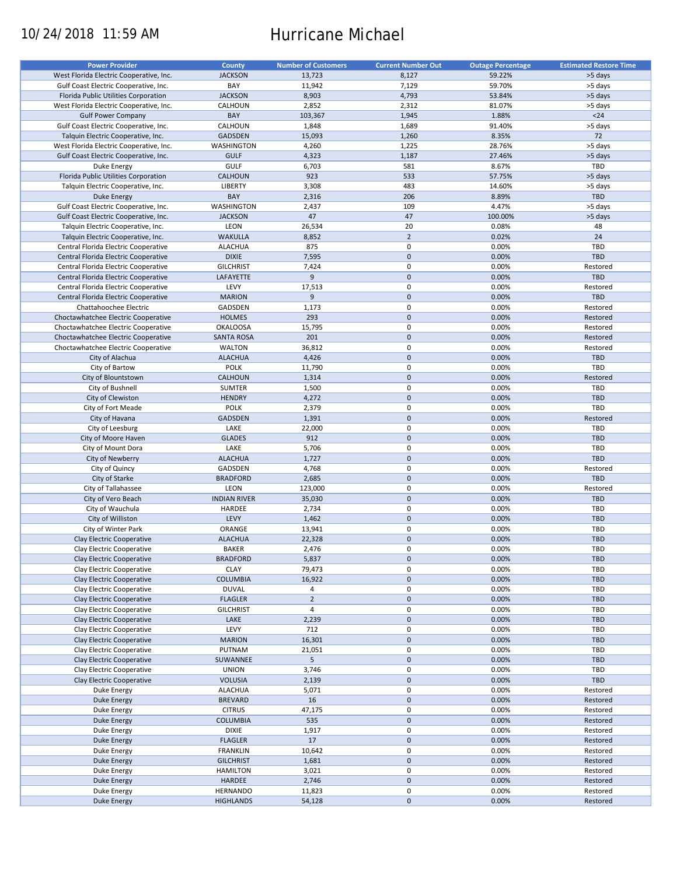# 10/24/2018 11:59 AM Hurricane Michael

| <b>Power Provider</b>                   | <b>County</b>       | <b>Number of Customers</b> | <b>Current Number Out</b> | <b>Outage Percentage</b> | <b>Estimated Restore Time</b> |
|-----------------------------------------|---------------------|----------------------------|---------------------------|--------------------------|-------------------------------|
|                                         | <b>JACKSON</b>      |                            | 8,127                     | 59.22%                   |                               |
| West Florida Electric Cooperative, Inc. |                     | 13,723                     |                           |                          | >5 days                       |
| Gulf Coast Electric Cooperative, Inc.   | BAY                 | 11,942                     | 7,129                     | 59.70%                   | >5 days                       |
| Florida Public Utilities Corporation    | <b>JACKSON</b>      | 8,903                      | 4,793                     | 53.84%                   | >5 days                       |
| West Florida Electric Cooperative, Inc. | CALHOUN             | 2,852                      | 2,312                     | 81.07%                   | >5 days                       |
| <b>Gulf Power Company</b>               | BAY                 | 103,367                    | 1,945                     | 1.88%                    | $24$                          |
| Gulf Coast Electric Cooperative, Inc.   | CALHOUN             | 1,848                      | 1,689                     | 91.40%                   | >5 days                       |
| Talquin Electric Cooperative, Inc.      | GADSDEN             | 15,093                     | 1,260                     | 8.35%                    | 72                            |
| West Florida Electric Cooperative, Inc. | WASHINGTON          | 4,260                      | 1,225                     | 28.76%                   | >5 days                       |
| Gulf Coast Electric Cooperative, Inc.   | <b>GULF</b>         | 4,323                      | 1,187                     | 27.46%                   | >5 days                       |
| Duke Energy                             | GULF                | 6,703                      | 581                       | 8.67%                    | TBD                           |
| Florida Public Utilities Corporation    | <b>CALHOUN</b>      | 923                        | 533                       | 57.75%                   | >5 days                       |
|                                         |                     |                            |                           |                          |                               |
| Talquin Electric Cooperative, Inc.      | LIBERTY             | 3,308                      | 483                       | 14.60%                   | >5 days                       |
| <b>Duke Energy</b>                      | BAY                 | 2,316                      | 206                       | 8.89%                    | <b>TBD</b>                    |
| Gulf Coast Electric Cooperative, Inc.   | <b>WASHINGTON</b>   | 2,437                      | 109                       | 4.47%                    | >5 days                       |
| Gulf Coast Electric Cooperative, Inc.   | <b>JACKSON</b>      | 47                         | 47                        | 100.00%                  | >5 days                       |
| Talquin Electric Cooperative, Inc.      | LEON                | 26,534                     | 20                        | 0.08%                    | 48                            |
| Talquin Electric Cooperative, Inc.      | <b>WAKULLA</b>      | 8,852                      | $\overline{2}$            | 0.02%                    | 24                            |
| Central Florida Electric Cooperative    | <b>ALACHUA</b>      | 875                        | $\pmb{0}$                 | 0.00%                    | TBD                           |
| Central Florida Electric Cooperative    | <b>DIXIE</b>        | 7,595                      | $\mathbf 0$               | 0.00%                    | <b>TBD</b>                    |
|                                         |                     |                            | $\mathbf 0$               |                          |                               |
| Central Florida Electric Cooperative    | <b>GILCHRIST</b>    | 7,424                      |                           | 0.00%                    | Restored                      |
| Central Florida Electric Cooperative    | LAFAYETTE           | 9                          | $\mathbf 0$               | 0.00%                    | <b>TBD</b>                    |
| Central Florida Electric Cooperative    | LEVY                | 17,513                     | $\pmb{0}$                 | 0.00%                    | Restored                      |
| Central Florida Electric Cooperative    | <b>MARION</b>       | 9                          | $\mathbf 0$               | 0.00%                    | <b>TBD</b>                    |
| Chattahoochee Electric                  | GADSDEN             | 1,173                      | $\pmb{0}$                 | 0.00%                    | Restored                      |
| Choctawhatchee Electric Cooperative     | <b>HOLMES</b>       | 293                        | $\mathbf 0$               | 0.00%                    | Restored                      |
| Choctawhatchee Electric Cooperative     | <b>OKALOOSA</b>     | 15,795                     | $\pmb{0}$                 | 0.00%                    | Restored                      |
| Choctawhatchee Electric Cooperative     | <b>SANTA ROSA</b>   | 201                        | $\mathbf 0$               | 0.00%                    | Restored                      |
| Choctawhatchee Electric Cooperative     | <b>WALTON</b>       | 36,812                     | 0                         | 0.00%                    | Restored                      |
|                                         |                     |                            |                           |                          |                               |
| City of Alachua                         | <b>ALACHUA</b>      | 4,426                      | $\mathbf 0$               | 0.00%                    | <b>TBD</b>                    |
| City of Bartow                          | <b>POLK</b>         | 11,790                     | 0                         | 0.00%                    | TBD                           |
| City of Blountstown                     | CALHOUN             | 1,314                      | $\mathbf 0$               | 0.00%                    | Restored                      |
| City of Bushnell                        | <b>SUMTER</b>       | 1,500                      | 0                         | 0.00%                    | TBD                           |
| City of Clewiston                       | <b>HENDRY</b>       | 4,272                      | $\mathbf 0$               | 0.00%                    | <b>TBD</b>                    |
| City of Fort Meade                      | <b>POLK</b>         | 2,379                      | $\pmb{0}$                 | 0.00%                    | TBD                           |
| City of Havana                          | <b>GADSDEN</b>      | 1,391                      | $\pmb{0}$                 | 0.00%                    | Restored                      |
| City of Leesburg                        | LAKE                | 22,000                     | $\pmb{0}$                 | 0.00%                    | TBD                           |
|                                         | <b>GLADES</b>       | 912                        | $\mathbf 0$               | 0.00%                    | <b>TBD</b>                    |
| City of Moore Haven                     |                     |                            |                           |                          |                               |
| City of Mount Dora                      | LAKE                | 5,706                      | $\pmb{0}$                 | 0.00%                    | TBD                           |
| City of Newberry                        | <b>ALACHUA</b>      | 1,727                      | $\mathbf 0$               | 0.00%                    | <b>TBD</b>                    |
| City of Quincy                          | GADSDEN             | 4,768                      | 0                         | 0.00%                    | Restored                      |
| City of Starke                          | <b>BRADFORD</b>     | 2,685                      | $\pmb{0}$                 | 0.00%                    | <b>TBD</b>                    |
| City of Tallahassee                     | LEON                | 123,000                    | $\pmb{0}$                 | 0.00%                    | Restored                      |
| City of Vero Beach                      | <b>INDIAN RIVER</b> | 35,030                     | $\mathbf 0$               | 0.00%                    | <b>TBD</b>                    |
| City of Wauchula                        | HARDEE              | 2,734                      | $\pmb{0}$                 | 0.00%                    | <b>TBD</b>                    |
| City of Williston                       | LEVY                | 1,462                      | $\mathbf 0$               | 0.00%                    | <b>TBD</b>                    |
|                                         | ORANGE              | 13,941                     | $\pmb{0}$                 | 0.00%                    | <b>TBD</b>                    |
| City of Winter Park                     |                     |                            |                           |                          |                               |
| Clay Electric Cooperative               | <b>ALACHUA</b>      | 22,328                     | $\mathbf 0$               | 0.00%                    | <b>TBD</b>                    |
| Clay Electric Cooperative               | <b>BAKER</b>        | 2,476                      | $\Omega$                  | 0.00%                    | TBD                           |
| Clay Electric Cooperative               | <b>BRADFORD</b>     | 5,837                      | $\pmb{0}$                 | 0.00%                    | TBD                           |
| Clay Electric Cooperative               | <b>CLAY</b>         | 79,473                     | 0                         | 0.00%                    | TBD                           |
| Clay Electric Cooperative               | <b>COLUMBIA</b>     | 16,922                     | $\mathsf{O}\xspace$       | 0.00%                    | <b>TBD</b>                    |
| Clay Electric Cooperative               | <b>DUVAL</b>        | 4                          | 0                         | 0.00%                    | TBD                           |
| Clay Electric Cooperative               | <b>FLAGLER</b>      | $\overline{2}$             | $\pmb{0}$                 | 0.00%                    | <b>TBD</b>                    |
| Clay Electric Cooperative               | <b>GILCHRIST</b>    | $\overline{4}$             | 0                         | 0.00%                    | TBD                           |
|                                         |                     |                            |                           |                          |                               |
| Clay Electric Cooperative               | LAKE                | 2,239                      | $\pmb{0}$                 | 0.00%                    | TBD                           |
| Clay Electric Cooperative               | LEVY                | 712                        | $\pmb{0}$                 | 0.00%                    | TBD                           |
| Clay Electric Cooperative               | <b>MARION</b>       | 16,301                     | $\pmb{0}$                 | 0.00%                    | <b>TBD</b>                    |
| Clay Electric Cooperative               | PUTNAM              | 21,051                     | $\pmb{0}$                 | 0.00%                    | TBD                           |
| Clay Electric Cooperative               | SUWANNEE            | 5                          | $\pmb{0}$                 | 0.00%                    | <b>TBD</b>                    |
| Clay Electric Cooperative               | <b>UNION</b>        | 3,746                      | $\pmb{0}$                 | 0.00%                    | TBD                           |
| Clay Electric Cooperative               | <b>VOLUSIA</b>      | 2,139                      | $\pmb{0}$                 | 0.00%                    | TBD                           |
| Duke Energy                             | <b>ALACHUA</b>      | 5,071                      | $\pmb{0}$                 | 0.00%                    | Restored                      |
|                                         | <b>BREVARD</b>      |                            | $\pmb{0}$                 | 0.00%                    | Restored                      |
| Duke Energy                             |                     | 16                         |                           |                          |                               |
| Duke Energy                             | <b>CITRUS</b>       | 47,175                     | 0                         | 0.00%                    | Restored                      |
| <b>Duke Energy</b>                      | <b>COLUMBIA</b>     | 535                        | $\pmb{0}$                 | 0.00%                    | Restored                      |
| Duke Energy                             | <b>DIXIE</b>        | 1,917                      | $\pmb{0}$                 | 0.00%                    | Restored                      |
| Duke Energy                             | <b>FLAGLER</b>      | 17                         | $\pmb{0}$                 | 0.00%                    | Restored                      |
| Duke Energy                             | <b>FRANKLIN</b>     | 10,642                     | 0                         | 0.00%                    | Restored                      |
| Duke Energy                             | <b>GILCHRIST</b>    | 1,681                      | $\pmb{0}$                 | 0.00%                    | Restored                      |
| Duke Energy                             | <b>HAMILTON</b>     | 3,021                      | 0                         | 0.00%                    | Restored                      |
| <b>Duke Energy</b>                      | HARDEE              | 2,746                      | $\pmb{0}$                 | 0.00%                    | Restored                      |
|                                         |                     |                            |                           |                          |                               |
| Duke Energy                             | <b>HERNANDO</b>     | 11,823                     | 0                         | 0.00%                    | Restored                      |
| <b>Duke Energy</b>                      | <b>HIGHLANDS</b>    | 54,128                     | $\pmb{0}$                 | 0.00%                    | Restored                      |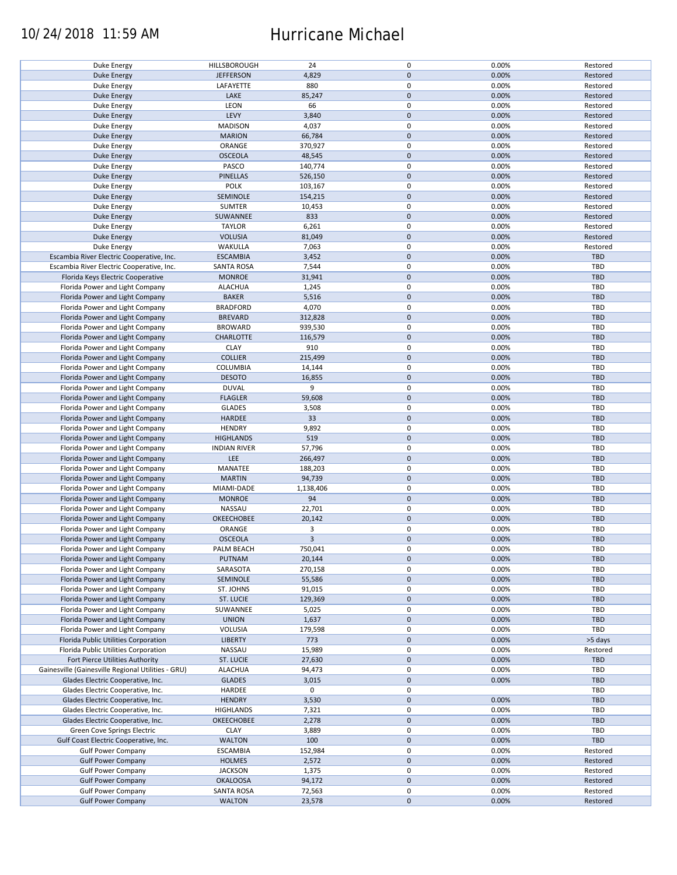### 10/24/2018 11:59 AM Hurricane Michael

|                                                    |                     | 24             | 0           |       |            |
|----------------------------------------------------|---------------------|----------------|-------------|-------|------------|
| <b>Duke Energy</b>                                 | HILLSBOROUGH        |                |             | 0.00% | Restored   |
| <b>Duke Energy</b>                                 | <b>JEFFERSON</b>    | 4,829          | $\pmb{0}$   | 0.00% | Restored   |
| Duke Energy                                        | LAFAYETTE           | 880            | 0           | 0.00% | Restored   |
| <b>Duke Energy</b>                                 | LAKE                | 85,247         | $\mathbf 0$ | 0.00% | Restored   |
| Duke Energy                                        | LEON                | 66             | 0           | 0.00% | Restored   |
| <b>Duke Energy</b>                                 | LEVY                | 3,840          | $\mathbf 0$ | 0.00% | Restored   |
| Duke Energy                                        | <b>MADISON</b>      | 4,037          | 0           | 0.00% | Restored   |
|                                                    |                     |                |             |       |            |
| <b>Duke Energy</b>                                 | <b>MARION</b>       | 66,784         | $\mathbf 0$ | 0.00% | Restored   |
| Duke Energy                                        | ORANGE              | 370,927        | 0           | 0.00% | Restored   |
| <b>Duke Energy</b>                                 | <b>OSCEOLA</b>      | 48,545         | $\mathbf 0$ | 0.00% | Restored   |
| Duke Energy                                        | PASCO               | 140,774        | 0           | 0.00% | Restored   |
| <b>Duke Energy</b>                                 | <b>PINELLAS</b>     | 526,150        | $\pmb{0}$   | 0.00% | Restored   |
|                                                    | <b>POLK</b>         |                | $\mathbf 0$ |       |            |
| Duke Energy                                        |                     | 103,167        |             | 0.00% | Restored   |
| <b>Duke Energy</b>                                 | SEMINOLE            | 154,215        | $\mathbf 0$ | 0.00% | Restored   |
| Duke Energy                                        | <b>SUMTER</b>       | 10,453         | $\pmb{0}$   | 0.00% | Restored   |
| <b>Duke Energy</b>                                 | SUWANNEE            | 833            | $\mathbf 0$ | 0.00% | Restored   |
| Duke Energy                                        | <b>TAYLOR</b>       | 6,261          | 0           | 0.00% | Restored   |
| <b>Duke Energy</b>                                 | <b>VOLUSIA</b>      | 81,049         | $\mathbf 0$ | 0.00% | Restored   |
|                                                    |                     |                |             |       |            |
| Duke Energy                                        | WAKULLA             | 7,063          | 0           | 0.00% | Restored   |
| Escambia River Electric Cooperative, Inc.          | <b>ESCAMBIA</b>     | 3,452          | $\mathbf 0$ | 0.00% | TBD        |
| Escambia River Electric Cooperative, Inc.          | <b>SANTA ROSA</b>   | 7,544          | 0           | 0.00% | <b>TBD</b> |
| Florida Keys Electric Cooperative                  | <b>MONROE</b>       | 31,941         | $\pmb{0}$   | 0.00% | <b>TBD</b> |
| Florida Power and Light Company                    | <b>ALACHUA</b>      | 1,245          | 0           | 0.00% | <b>TBD</b> |
|                                                    |                     |                |             |       |            |
| Florida Power and Light Company                    | <b>BAKER</b>        | 5,516          | $\pmb{0}$   | 0.00% | <b>TBD</b> |
| Florida Power and Light Company                    | <b>BRADFORD</b>     | 4,070          | 0           | 0.00% | TBD        |
| Florida Power and Light Company                    | <b>BREVARD</b>      | 312,828        | $\pmb{0}$   | 0.00% | <b>TBD</b> |
| Florida Power and Light Company                    | <b>BROWARD</b>      | 939,530        | 0           | 0.00% | TBD        |
| Florida Power and Light Company                    | <b>CHARLOTTE</b>    | 116,579        | $\pmb{0}$   | 0.00% | <b>TBD</b> |
| Florida Power and Light Company                    | <b>CLAY</b>         | 910            | $\mathbf 0$ | 0.00% | <b>TBD</b> |
|                                                    |                     |                |             |       |            |
| Florida Power and Light Company                    | <b>COLLIER</b>      | 215,499        | $\mathbf 0$ | 0.00% | <b>TBD</b> |
| Florida Power and Light Company                    | COLUMBIA            | 14,144         | 0           | 0.00% | TBD        |
| Florida Power and Light Company                    | <b>DESOTO</b>       | 16,855         | $\mathbf 0$ | 0.00% | <b>TBD</b> |
| Florida Power and Light Company                    | <b>DUVAL</b>        | 9              | 0           | 0.00% | TBD        |
| Florida Power and Light Company                    | <b>FLAGLER</b>      | 59,608         | $\pmb{0}$   | 0.00% | <b>TBD</b> |
|                                                    |                     |                | 0           |       | TBD        |
| Florida Power and Light Company                    | <b>GLADES</b>       | 3,508          |             | 0.00% |            |
| Florida Power and Light Company                    | HARDEE              | 33             | $\pmb{0}$   | 0.00% | <b>TBD</b> |
| Florida Power and Light Company                    | <b>HENDRY</b>       | 9,892          | 0           | 0.00% | TBD        |
| Florida Power and Light Company                    | <b>HIGHLANDS</b>    | 519            | $\mathbf 0$ | 0.00% | <b>TBD</b> |
| Florida Power and Light Company                    | <b>INDIAN RIVER</b> | 57,796         | $\pmb{0}$   | 0.00% | TBD        |
| Florida Power and Light Company                    | LEE                 | 266,497        | $\pmb{0}$   | 0.00% | <b>TBD</b> |
|                                                    |                     |                |             |       |            |
| Florida Power and Light Company                    | MANATEE             | 188,203        | 0           | 0.00% | TBD        |
| Florida Power and Light Company                    | <b>MARTIN</b>       | 94,739         | $\pmb{0}$   | 0.00% | <b>TBD</b> |
| Florida Power and Light Company                    | MIAMI-DADE          | 1,138,406      | 0           | 0.00% | <b>TBD</b> |
| Florida Power and Light Company                    | <b>MONROE</b>       | 94             | $\pmb{0}$   | 0.00% | <b>TBD</b> |
| Florida Power and Light Company                    | NASSAU              | 22,701         | 0           | 0.00% | <b>TBD</b> |
| Florida Power and Light Company                    | <b>OKEECHOBEE</b>   |                | $\pmb{0}$   | 0.00% | <b>TBD</b> |
|                                                    |                     | 20,142         |             |       |            |
| Florida Power and Light Company                    | ORANGE              | 3              | 0           | 0.00% | <b>TBD</b> |
| Florida Power and Light Company                    | <b>OSCEOLA</b>      | $\overline{3}$ | $\pmb{0}$   | 0.00% | <b>TBD</b> |
| Florida Power and Light Company                    | PALM BEACH          | 750,041        | $\mathbf 0$ | 0.00% | TBD        |
| Florida Power and Light Company                    | PUTNAM              | 20,144         | $\pmb{0}$   | 0.00% | <b>TBD</b> |
| Florida Power and Light Company                    | SARASOTA            | 270,158        | 0           | 0.00% | TBD        |
|                                                    |                     |                |             |       |            |
| Florida Power and Light Company                    | SEMINOLE            | 55,586         | 0           | 0.00% | TBD        |
| Florida Power and Light Company                    | ST. JOHNS           | 91,015         | 0           | 0.00% | TBD        |
| Florida Power and Light Company                    | ST. LUCIE           | 129,369        | 0           | 0.00% | <b>TBD</b> |
| Florida Power and Light Company                    | SUWANNEE            | 5,025          | 0           | 0.00% | TBD        |
| Florida Power and Light Company                    | <b>UNION</b>        | 1,637          | 0           | 0.00% | <b>TBD</b> |
| Florida Power and Light Company                    | VOLUSIA             | 179,598        | 0           | 0.00% | TBD        |
|                                                    |                     |                |             |       |            |
| Florida Public Utilities Corporation               | <b>LIBERTY</b>      | 773            | $\pmb{0}$   | 0.00% | >5 days    |
| Florida Public Utilities Corporation               | NASSAU              | 15,989         | 0           | 0.00% | Restored   |
| Fort Pierce Utilities Authority                    | <b>ST. LUCIE</b>    | 27,630         | $\pmb{0}$   | 0.00% | TBD        |
| Gainesville (Gainesville Regional Utilities - GRU) | <b>ALACHUA</b>      | 94,473         | 0           | 0.00% | TBD        |
| Glades Electric Cooperative, Inc.                  | <b>GLADES</b>       | 3,015          | $\pmb{0}$   | 0.00% | <b>TBD</b> |
| Glades Electric Cooperative, Inc.                  | HARDEE              | 0              | $\pmb{0}$   |       | TBD        |
|                                                    |                     |                |             |       |            |
| Glades Electric Cooperative, Inc.                  | <b>HENDRY</b>       | 3,530          | $\pmb{0}$   | 0.00% | <b>TBD</b> |
| Glades Electric Cooperative, Inc.                  | <b>HIGHLANDS</b>    | 7,321          | 0           | 0.00% | <b>TBD</b> |
| Glades Electric Cooperative, Inc.                  | OKEECHOBEE          | 2,278          | $\pmb{0}$   | 0.00% | <b>TBD</b> |
| Green Cove Springs Electric                        | <b>CLAY</b>         | 3,889          | 0           | 0.00% | <b>TBD</b> |
| Gulf Coast Electric Cooperative, Inc.              | <b>WALTON</b>       | 100            | $\pmb{0}$   | 0.00% | TBD        |
|                                                    |                     |                |             |       |            |
| <b>Gulf Power Company</b>                          | <b>ESCAMBIA</b>     | 152,984        | 0           | 0.00% | Restored   |
| <b>Gulf Power Company</b>                          | <b>HOLMES</b>       | 2,572          | $\pmb{0}$   | 0.00% | Restored   |
| <b>Gulf Power Company</b>                          | <b>JACKSON</b>      | 1,375          | 0           | 0.00% | Restored   |
| <b>Gulf Power Company</b>                          | <b>OKALOOSA</b>     | 94,172         | $\pmb{0}$   | 0.00% | Restored   |
| <b>Gulf Power Company</b>                          | <b>SANTA ROSA</b>   | 72,563         | 0           | 0.00% | Restored   |
| <b>Gulf Power Company</b>                          | <b>WALTON</b>       | 23,578         | $\pmb{0}$   | 0.00% | Restored   |
|                                                    |                     |                |             |       |            |